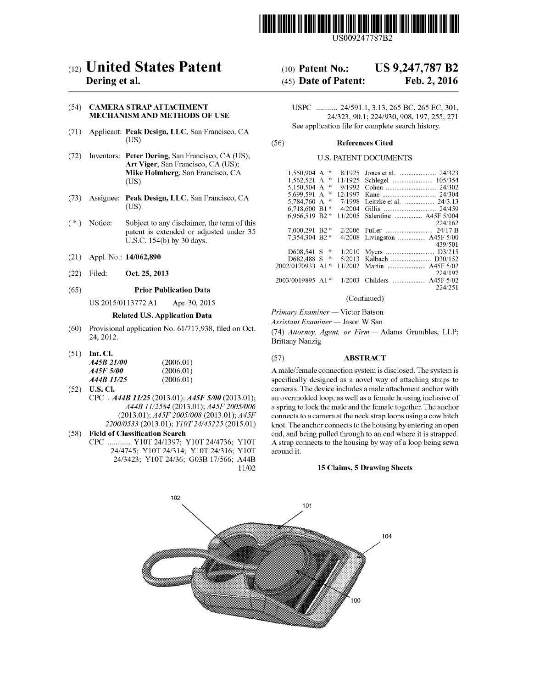

US009247787B2

- (71) Applicant: Peak Design, LLC, San Francisco, CA<br>(US) See application file for complete search history.<br>  $\frac{(56)}{2}$  Perforences Cited
- (72) Inventors: Peter Dering, San Francisco, CA (US); |U.S. PATENT DOCUMENTS Art Viger, San Francisco, CA (US); Mike Holmberg, San Francisco, CA (US)
- (73) Assignee: **Peak Design, LLC**, San Francisco, CA (US)
- ( $*$ ) Notice: Subject to any disclaimer, the term of this patent is extended or adjusted under 35 U.S.C. 154(b) by 30 days.
- $(21)$  Appl. No.: 14/062,890
- 

### (65) Prior Publication Data

US 2015/0113772 A1 Apr. 30, 2015<br>
Primary Examiner — Victor Batson<br>
Primary Examiner — Victor Batson

## Related U.S. Application Data

- 
- 

| 1 J I J I | — шь Сь           |           | (57) | ABSTRACT                               |  |
|-----------|-------------------|-----------|------|----------------------------------------|--|
|           | <i>A45B 21/00</i> | (2006.01) |      |                                        |  |
|           | <i>A45F 5/00</i>  | (2006.01) |      | A male/female connection system is dis |  |
|           | A44B 11/25        | (2006.01) |      | specifically designed as a novel way   |  |

- -

24/4745; Y10T 24/314; Y10T 24/316; Y10T 24/3423; Y1OT 24/36; G03B 17/566; A44B

## (12) United States Patent (10) Patent No.: US 9,247,787 B2<br>Dering et al. (45) Date of Patent: Feb. 2, 2016  $(45)$  Date of Patent:

(54) CAMERA STRAP ATTACHMENT<br>MECHANISM AND METHODS OF USE 24/39 90 1: 22/323 90 1: 22/930 908 197 255 271 24/323, 90.1; 224/930, 908, 197, 255, 271

## (56) References Cited

|       |         | <b>Mike Holmberg, San Francisco, CA</b>       | $1.550.904$ A *                |                                              |
|-------|---------|-----------------------------------------------|--------------------------------|----------------------------------------------|
|       |         | (US)                                          |                                |                                              |
|       |         |                                               | 5.150.504 A $*$                |                                              |
| (73)  |         | Assignee: Peak Design, LLC, San Francisco, CA | 5.699.591 A $*$                |                                              |
|       |         | (US)                                          | 5.784.760 A $*$                | 7/1998 Leitzke et al.  24/3.13               |
|       |         |                                               |                                |                                              |
|       |         |                                               |                                | 6.966.519 B2 * 11/2005 Salentine  A45F 5/004 |
| $(*)$ | Notice: | Subject to any disclaimer, the term of this   |                                | 224/162                                      |
|       |         | patent is extended or adjusted under 35       | $7,000,291 \text{ B2}$ *       |                                              |
|       |         | U.S.C. 154(b) by 30 days.                     | 7.354.304 B2 *                 | 4/2008 Livingston  A45F 5/00                 |
|       |         |                                               |                                | 439/501                                      |
|       |         | $D608.541 S$ *                                |                                |                                              |
| (21)  |         | Appl. No.: 14/062,890                         | D682.488 S *                   |                                              |
|       |         |                                               | $2002/0170933$ A1 <sup>*</sup> | 11/2002 Martin  A45F 5/02                    |
| (22)  | Filed:  | Oct. 25, 2013                                 |                                | 224/197                                      |
|       |         |                                               | 2003/0019895 A1*               | 1/2003 Childers  A45F 5/02                   |
| (65)  |         | Driar Dublication Data                        |                                | 224/251                                      |

Assistant Examiner — Jason W San<br>(74) Attorney, Agent, or Firm — Adams Grumbles, LLP; US 2015/0113772 A1 Apr. 30, 2015<br> **Related U.S. Application Data** Primary Examiner — Victor Batson<br>
(60) Provisional application No. 61/717,938, filed on Oct. (74) Attorney, Agent, or Firm — Adams Grumbles, LLP;<br>
24, 2012. Brittany Nanzig

A male/female connection system is disclosed. The system is specifically designed as a novel way of attaching straps to (52) U.S. Cl. cameras. The device includes a male attachment anchor with<br>CPC .  $A44B1L/25$  (2013.01);  $A45F5/00$  (2013.01); an overmolded loop, as well as a female housing inclusive of **CPC A44B 11/25** (2013.01);  $A45F 5/00$  (2013.01); an overmolded loop, as well as a female housing inclusive of  $A44B$  11/2584 (2013.01);  $A45F 2005/006$  a spring to lock the male and the female together. The anchor  $A44B11/2584$  (2013.01);  $A45F2005/006$  a spring to lock the male and the female together. The anchor (2013.01);  $A45F2005/008$  (2013.01);  $A45F$  connects to a camera at the neck strap loops using a cow hitch (2013.01);  $A45F$  2005/008 (2013.01);  $A45F$  connects to a camera at the neck strap loops using a cow hitch 2200/0533 (2013.01);  $Y10T$  24/45225 (2015.01) knot. The anchor connects to the housing by entering an open 2200/0533 (2013.01);  $Y10T24/45225$  (2015.01) knot. The anchor connects to the housing by entering an open end, and being pulled through to an end where it is strapped. Field of Classification Search end, and being pulled through to an end where it is strapped.<br>CPC ............ Y10T 24/1397; Y10T 24/4736; Y10T A strap connects to the housing by way of a loop being sewn A strap connects to the housing by way of a loop being sewn around it.

## 15 Claims, 5 Drawing Sheets

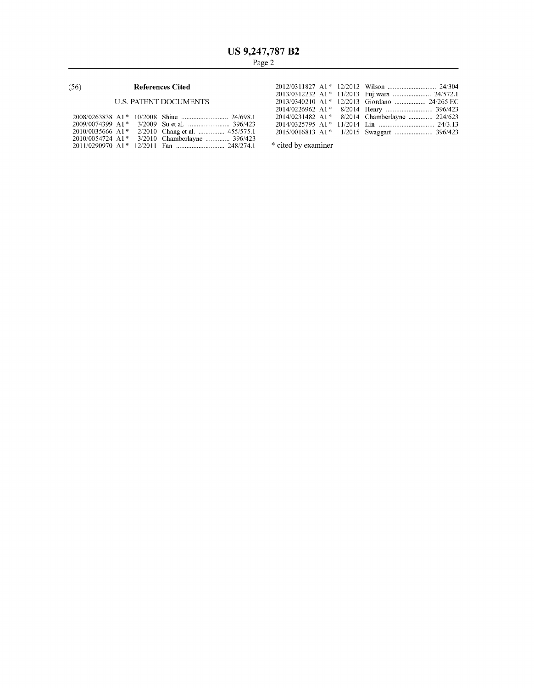## (56) References Cited

## U.S. PATENT DOCUMENTS

|  |                                               |  | 2014/0231482 A1* 8/2014 Chamberlayne  224/623 |
|--|-----------------------------------------------|--|-----------------------------------------------|
|  |                                               |  |                                               |
|  |                                               |  |                                               |
|  | 2010/0054724 A1* 3/2010 Chamberlayne  396/423 |  |                                               |
|  |                                               |  |                                               |

| 56). | <b>References Cited</b> |                                                 |  |                                               |
|------|-------------------------|-------------------------------------------------|--|-----------------------------------------------|
|      |                         |                                                 |  |                                               |
|      |                         | U.S. PATENT DOCUMENTS                           |  |                                               |
|      |                         |                                                 |  |                                               |
|      |                         |                                                 |  | 2014/0231482 A1* 8/2014 Chamberlayne  224/623 |
|      |                         |                                                 |  |                                               |
|      |                         | 2010/0035666 A1* 2/2010 Chang et al.  455/575.1 |  |                                               |

\* cited by examiner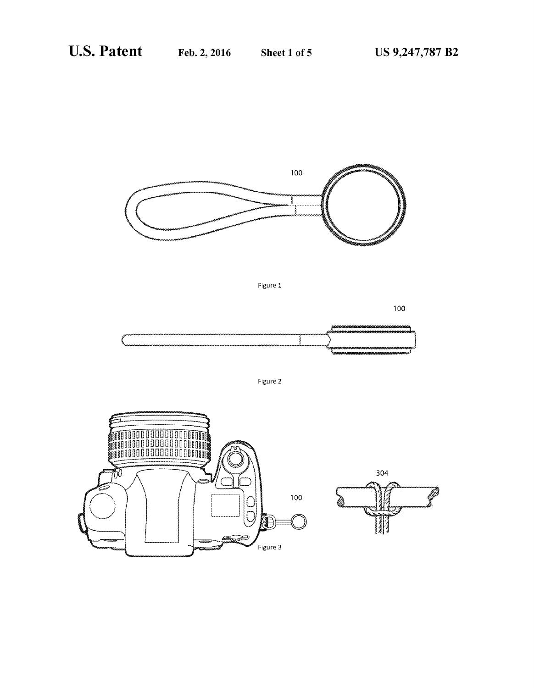

Figure 1



Figure 2

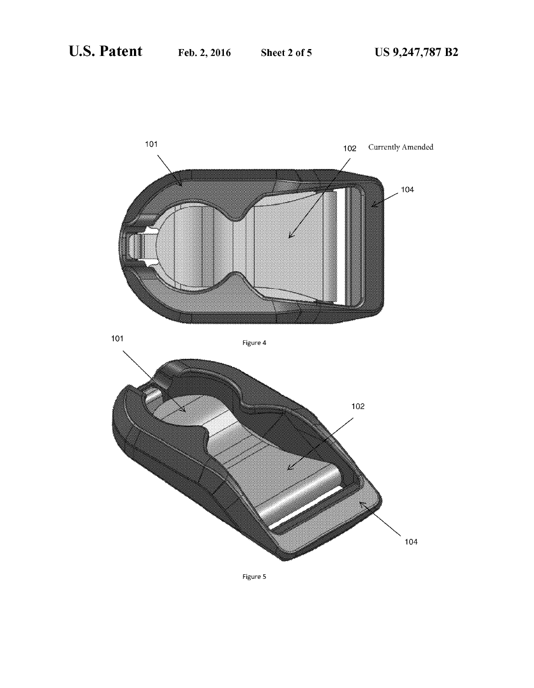

Figure 5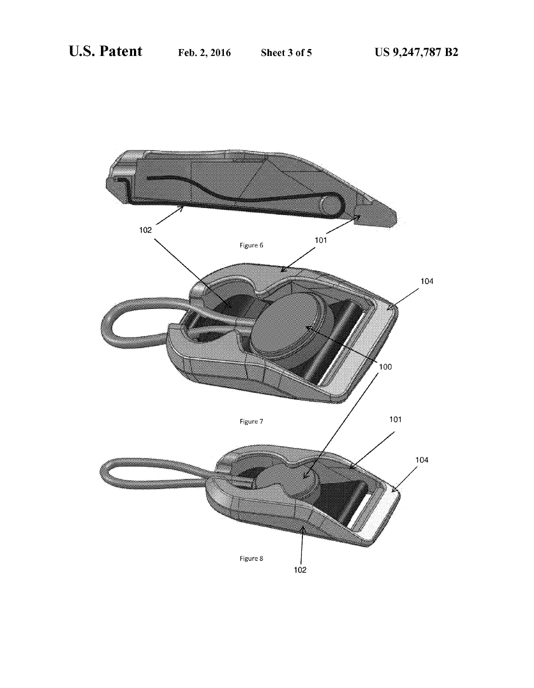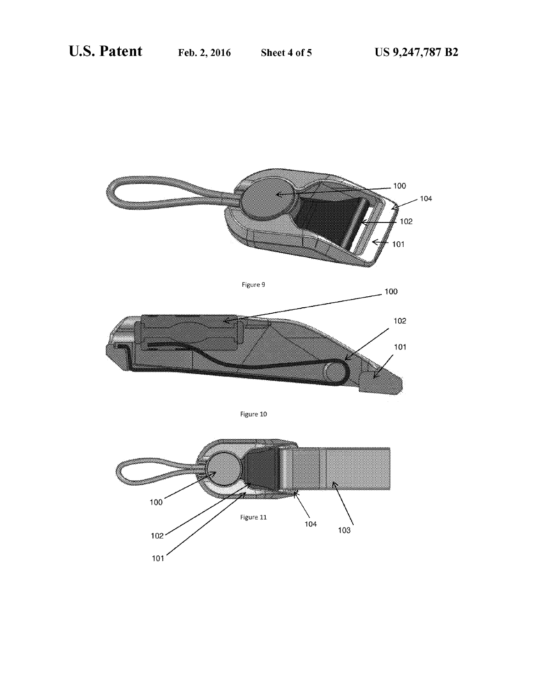



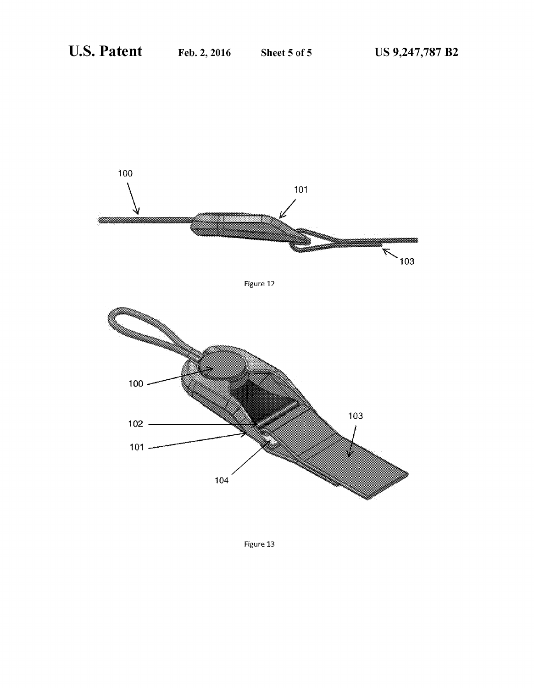





Figure 13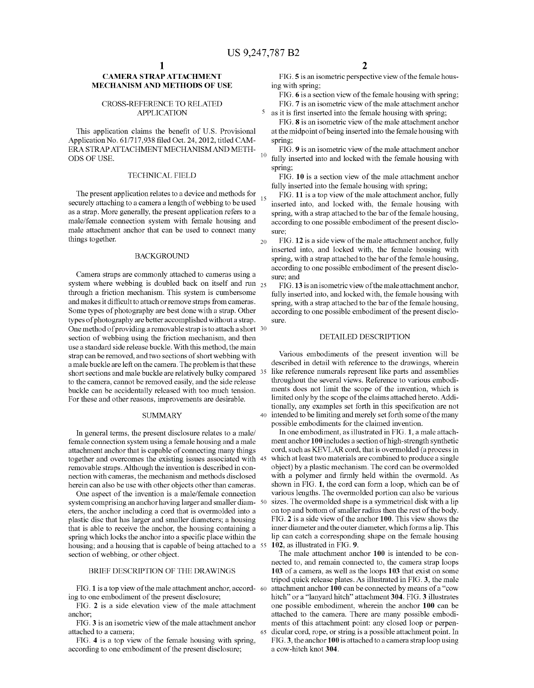$10$ 

 $40$ 

65

## **CAMERA STRAP ATTACHMENT** MECHANISM AND METHODS OF USE

## **CROSS-REFERENCE TO RELATED APPLICATION**

This application claims the benefit of U.S. Provisional Application No. 61/717,938 filed Oct. 24, 2012, titled CAM-ERA STRAP ATTACHMENT MECHANISM AND METH-ODS OF USE.

## **TECHNICAL FIELD**

The present application relates to a device and methods for securely attaching to a camera a length of webbing to be used as a strap. More generally, the present application refers to a male/female connection system with female housing and male attachment anchor that can be used to connect many things together. 20

## **BACKGROUND**

Camera straps are commonly attached to cameras using a system where webbing is doubled back on itself and run  $_{25}$ through a friction mechanism. This system is cumbersome and makes it difficult to attach or remove straps from cameras. Some types of photography are best done with a strap. Other types of photography are better accomplished without a strap. One method of providing a removable strap is to attach a short 30 section of webbing using the friction mechanism, and then use a standard side release buckle. With this method, the main strap can be removed, and two sections of short webbing with a male buckle are left on the camera. The problem is that these short sections and male buckle are relatively bulky compared <sup>35</sup> to the camera, cannot be removed easily, and the side release buckle can be accidentally released with too much tension. For these and other reasons, improvements are desirable.

### **SUMMARY**

In general terms, the present disclosure relates to a male/ female connection system using a female housing and a male attachment anchor that is capable of connecting many things together and overcomes the existing issues associated with 45 removable straps. Although the invention is described in connection with cameras, the mechanism and methods disclosed herein can also be use with other objects other than cameras.

One aspect of the invention is a male/female connection system comprising an anchor having larger and smaller diam- 50 eters, the anchor including a cord that is overmolded into a plastic disc that has larger and smaller diameters; a housing that is able to receive the anchor, the housing containing a spring which locks the anchor into a specific place within the housing; and a housing that is capable of being attached to a 55 section of webbing, or other object.

## BRIEF DESCRIPTION OF THE DRAWINGS

FIG. 1 is a top view of the male attachment anchor, accord- 60 ing to one embodiment of the present disclosure;

FIG. 2 is a side elevation view of the male attachment anchor:

FIG. 3 is an isometric view of the male attachment anchor attached to a camera;

FIG. 4 is a top view of the female housing with spring, according to one embodiment of the present disclosure;

FIG. 5 is an isometric perspective view of the female housing with spring:

FIG. 6 is a section view of the female housing with spring; FIG. 7 is an isometric view of the male attachment anchor as it is first inserted into the female housing with spring.

FIG. 8 is an isometric view of the male attachment anchor at the midpoint of being inserted into the female housing with spring;

FIG. 9 is an isometric view of the male attachment anchor fully inserted into and locked with the female housing with spring;

FIG. 10 is a section view of the male attachment anchor fully inserted into the female housing with spring;

- FIG. 11 is a top view of the male attachment anchor, fully inserted into, and locked with, the female housing with spring, with a strap attached to the bar of the female housing, according to one possible embodiment of the present disclosure:
- FIG. 12 is a side view of the male attachment anchor, fully inserted into, and locked with, the female housing with spring, with a strap attached to the bar of the female housing, according to one possible embodiment of the present disclosure; and

FIG. 13 is an isometric view of the male attachment anchor, fully inserted into, and locked with, the female housing with spring, with a strap attached to the bar of the female housing, according to one possible embodiment of the present disclosure.

### **DETAILED DESCRIPTION**

Various embodiments of the present invention will be described in detail with reference to the drawings, wherein like reference numerals represent like parts and assemblies throughout the several views. Reference to various embodiments does not limit the scope of the invention, which is limited only by the scope of the claims attached hereto. Additionally, any examples set forth in this specification are not intended to be limiting and merely set forth some of the many possible embodiments for the claimed invention.

In one embodiment, as illustrated in FIG. 1, a male attachment anchor 100 includes a section of high-strength synthetic cord, such as KEVLAR cord, that is overmolded (a process in which at least two materials are combined to produce a single object) by a plastic mechanism. The cord can be overmolded with a polymer and firmly held within the overmold. As shown in FIG. 1, the cord can form a loop, which can be of various lengths. The overmolded portion can also be various sizes. The overmolded shape is a symmetrical disk with a lip on top and bottom of smaller radius then the rest of the body. FIG. 2 is a side view of the anchor 100. This view shows the inner diameter and the outer diameter, which forms a lip. This lip can catch a corresponding shape on the female housing 102, as illustrated in FIG. 9.

The male attachment anchor 100 is intended to be connected to, and remain connected to, the camera strap loops 103 of a camera, as well as the loops 103 that exist on some tripod quick release plates. As illustrated in FIG. 3, the male attachment anchor 100 can be connected by means of a "cow hitch" or a "lanyard hitch" attachment 304. FIG. 3 illustrates one possible embodiment, wherein the anchor 100 can be attached to the camera. There are many possible embodiments of this attachment point: any closed loop or perpendicular cord, rope, or string is a possible attachment point. In FIG. 3, the anchor 100 is attached to a camera strap loop using a cow-hitch knot 304.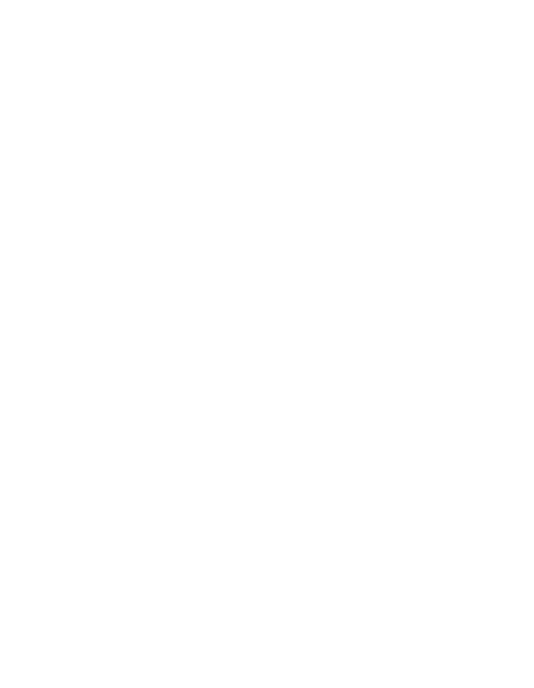In one embodiment, the female housing 101 can consist of a plastic structure whereby one end of the structure is open to receive the male attachment anchor 100, and the other end is mostly enclosed to trap the male attachment anchor 100. The two ends can be connected by an open channel that the male 5 attachment anchor 100 slides through. The bottom of the anchor 100 can include a spring 102, which can be initially unloaded.

As the male attachment anchor 100 moves from the open end of the female housing 101 toward the enclosed end, the 10 spring 102 is deformed. FIGS. 7 through 10 illustrate the various positions the male attachment anchor 100 moves through from the open end of the female housing 101 toward the enclosed end. FIG. 7 illustrates the anchor 100 at the open entrance of the housing 101. FIG. 8 illustrates the anchor 100 15 as it is being pulled through the housing 101, wherein the spring 102 is partially depressed to make room for the anchor 100 within the housing 101. FIGS. 9 and 10 illustrate the anchor 100 at its final locked position within the housing 101.

When the male attachment anchor 100 reaches its final 20 position in the enclosed end of the housing 101, it is moved up by the force of the spring 102 and into a receiving cavity in the housing 101. The lip of the male attachment anchor 100 interacts with a corresponding lip on the housing 101, which creates a lock. In this locked position, the spring  $102$  can be 25 a bar located near the first end of the spring. pressed against the bottom of the anchor 100, as illustrated in FIG. 10.

In one embodiment, the spring 102 can serve as the back of the female housing 101, as illustrated in FIGS. 4 and 5. As illustrated in FIG.  $\bf{6}$  (a side view of the female housing), the 30 spring 102 in the back of the female housing 101 can wrap about an axle of circular cross section in the female housing 101.

In one embodiment, a method of releasing the male attachment anchor 100 from the female housing 101 is disclosed. 35 disk is rigid. When the mechanism is engaged, the male attachment anchor 100 has one face that is exposed to view, while all other parts of the anchor 100 remain entrapped. The male attachment anchor 100 is released when a user depresses this face against the force of the spring  $102$ . After depressing the anchor  $100$  40 past the corresponding lip in the housing 101, the user can slide the male attachment anchor 100 out of the channel by moving it opposite the direction that it entered.

In one embodiment, one portion of the female housing 101 can be attached to a strap 103 or other material, as illustrated 45 in FIGS. 11 through 13. The portion of the housing 101 attached to the strap 103 can consist of a bar 104 made of plastic or another rigid material. Additionally, a piece of webbing can be sewn around the bar 104, or looped around the bar 104, and attached in a different fashion. 50

The invention claimed is:

1. A male/female system for secure attachment to a camera comprising:

- an anchor comprising a solid disk affixed to a flexible cord; 55 and
- a housing for the anchor comprising:
	- an open, back end;
	- an at least partially enclosed end having a top surface and at least a portion corresponding to the shape of the 60 solid disk;
	- an open channel connecting the open, back end to the at least partially enclosed end; and
- a base having a spring, the spring having a first end near the open, back end and a compressible second end 65 near the at least partially enclosed end; wherein:

the at least partially enclosed end and the base contain the solid disk:

the disk is comprised of a top lip and a body;

- a diameter of the body is larger than a diameter of the top  $lin:$
- the top surface of the at least partially enclosed end comprises a lip ledge, the lip ledge of the at least partially enclosed end having a diameter that is smaller than the diameter of the body of the disk and larger than the diameter of the top lip of the disk;
- the spring releasably locks the solid disk inside the housing by pushing the top lip of the disk away from the base and toward the lip ledge of the at least partially enclosed end; and
- wherein the top lip of the solid disk is fitted correspondingly to the lip ledge.
- 2. The male/female system of claim 1, wherein the solid disk is further comprised of a bottom lip.

3. The male/female system of claim 2, wherein the diameter of the body is larger than a diameter of the bottom lip.

- 4. The male/female system of claim 3, wherein the top lip and the bottom lip are symmetrical.
- 5. The male/female system of claim 1, further comprising
- 6. The male/female system of claim 5, further comprising an adjustable strap attached to the bar.
- 7. The male/female system of claim 1, wherein the solid disk is plastic.
- 8. The male/female system of claim 1, wherein the cord is in the form of a loop.

9. The male/female system of claim 1, further comprising two parallel, solid sides.

- 10. The male/female system of claim 1, wherein the solid
- 11. The male/female system of claim 1, wherein the solid disk is permanently affixed to the flexible cord.

12. The male/female system of claim 1, wherein the housing is plastic.

13. A male/female system for secure attachment to a camera comprising:

- an anchor comprising a rigid, solid disk affixed to a flexible cord;
	- wherein the rigid, solid disk is comprised of a top lip, a body, and a bottom lip;
	- wherein a diameter of the body is larger than a diameter of the top lip and a diameter of the bottom lip; and

wherein the top lip and the bottom lip are symmetrical; and

a housing for the anchor comprising:

- an open, back end;
- a mostly enclosed end having a top surface comprising a lip ledge corresponding to the top lip of the rigid, solid disk:
- an open channel connecting the open, back end to the mostly enclosed end;
- a base having a spring, the spring having a first end near the open, back end and a compressible second end near the mostly enclosed end;
- wherein the mostly enclosed end and the base contain the rigid, solid disk;
- wherein the spring releasably locks the rigid, solid disk inside the housing by pushing the disk away from the base and toward the lip ledge of the mostly enclosed end; and
- wherein the top lip of the rigid, solid disk is fitted correspondingly to the lip ledge.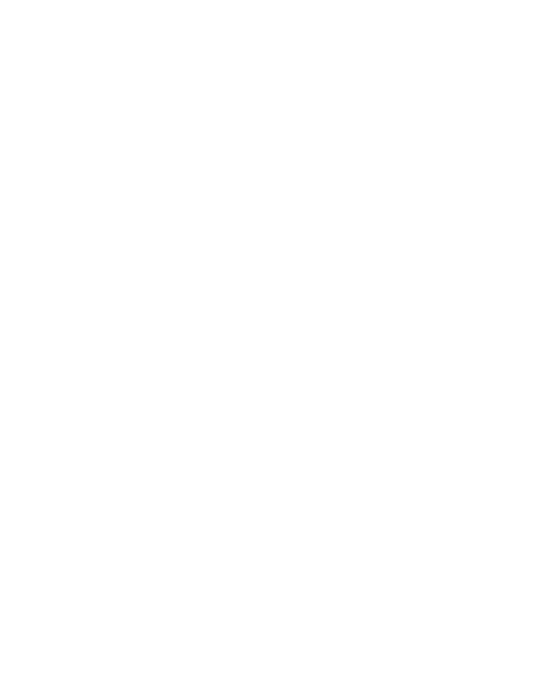5

15

25

14. The male/female system of claim 13, further comprising a bar located near the first end of the spring and an adjustable strap attached to the bar.

15. A male/female system for secure attachment to a camera comprising:

- an anchor comprising a rigid, solid, plastic disk permanently affixed to a flexible cord that is in the form of a loop;
	- wherein the rigid, solid, plastic disk is comprised of a top lip, a body, and a bottom lip; wherein a diameter of the 10 body is larger than a diameter of the top lip and a diameter of the bottom lip; and
	- wherein the top lip and the bottom lip are symmetrical; and
- a plastic housing for the anchor comprising: an open, back end;
- a mostly enclosed end having a lip ledge corresponding to the top lip of the rigid, solid, plastic disk;
- an open channel connecting the open, back end to the mostly enclosed end: 20
- a base having a spring and a bar, the spring having a first end near the open, back end and a compressible, second end near the mostly enclosed end, and the bar being located near the first end of the spring;

a strap attached to the bar; and two parallel, solid sides;

wherein the mostly enclosed end, the base, and the two parallel, solid sides contain the rigid, solid, plastic disk;

- wherein the spring releasably locks the rigid, solid, plastic disk inside the housing; and  $30$
- wherein the top lip of the rigid, solid disk is fitted correspondingly to the lip ledge.

\* \* \* \* \*